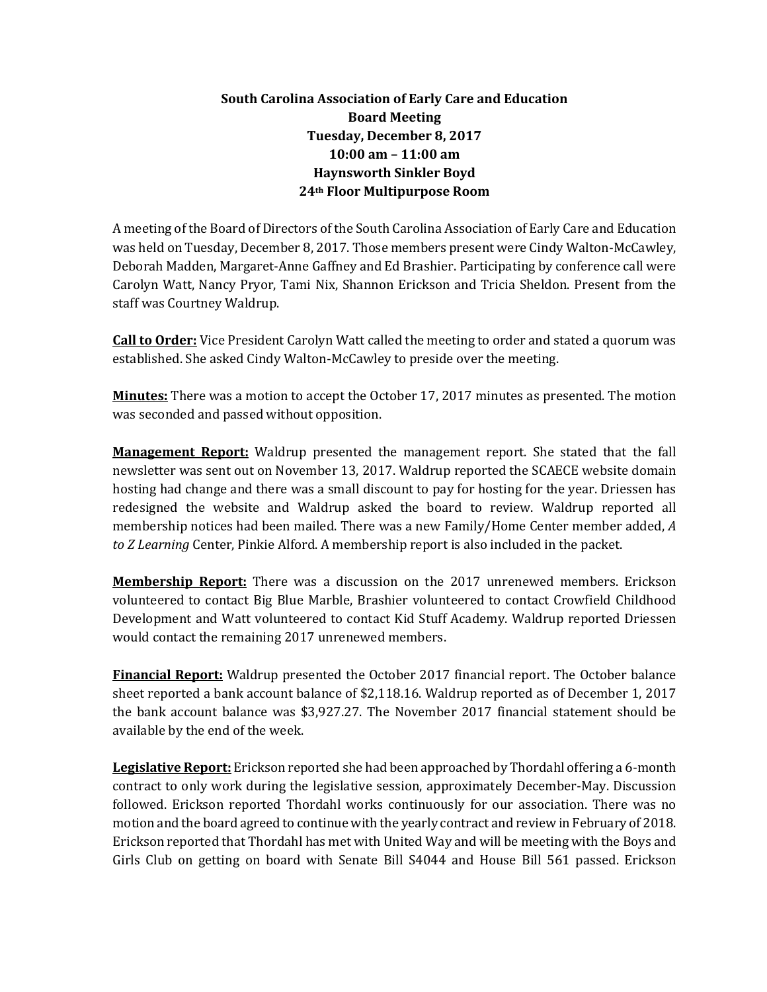## **South Carolina Association of Early Care and Education Board Meeting Tuesday, December 8, 2017 10:00 am – 11:00 am Haynsworth Sinkler Boyd 24th Floor Multipurpose Room**

A meeting of the Board of Directors of the South Carolina Association of Early Care and Education was held on Tuesday, December 8, 2017. Those members present were Cindy Walton-McCawley, Deborah Madden, Margaret-Anne Gaffney and Ed Brashier. Participating by conference call were Carolyn Watt, Nancy Pryor, Tami Nix, Shannon Erickson and Tricia Sheldon. Present from the staff was Courtney Waldrup.

**Call to Order:** Vice President Carolyn Watt called the meeting to order and stated a quorum was established. She asked Cindy Walton-McCawley to preside over the meeting.

**Minutes:** There was a motion to accept the October 17, 2017 minutes as presented. The motion was seconded and passed without opposition.

**Management Report:** Waldrup presented the management report. She stated that the fall newsletter was sent out on November 13, 2017. Waldrup reported the SCAECE website domain hosting had change and there was a small discount to pay for hosting for the year. Driessen has redesigned the website and Waldrup asked the board to review. Waldrup reported all membership notices had been mailed. There was a new Family/Home Center member added, *A to Z Learning* Center, Pinkie Alford. A membership report is also included in the packet.

**Membership Report:** There was a discussion on the 2017 unrenewed members. Erickson volunteered to contact Big Blue Marble, Brashier volunteered to contact Crowfield Childhood Development and Watt volunteered to contact Kid Stuff Academy. Waldrup reported Driessen would contact the remaining 2017 unrenewed members.

**Financial Report:** Waldrup presented the October 2017 financial report. The October balance sheet reported a bank account balance of \$2,118.16. Waldrup reported as of December 1, 2017 the bank account balance was \$3,927.27. The November 2017 financial statement should be available by the end of the week.

**Legislative Report:** Erickson reported she had been approached by Thordahl offering a 6-month contract to only work during the legislative session, approximately December-May. Discussion followed. Erickson reported Thordahl works continuously for our association. There was no motion and the board agreed to continue with the yearly contract and review in February of 2018. Erickson reported that Thordahl has met with United Way and will be meeting with the Boys and Girls Club on getting on board with Senate Bill S4044 and House Bill 561 passed. Erickson